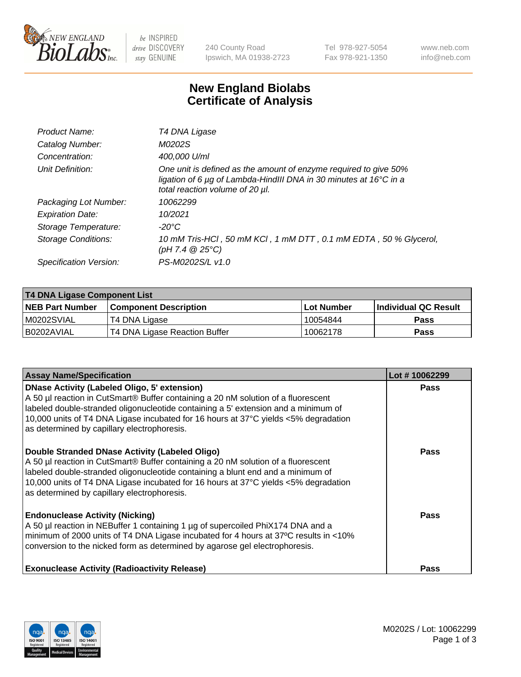

 $be$  INSPIRED drive DISCOVERY stay GENUINE

240 County Road Ipswich, MA 01938-2723 Tel 978-927-5054 Fax 978-921-1350 www.neb.com info@neb.com

## **New England Biolabs Certificate of Analysis**

| Product Name:           | T4 DNA Ligase                                                                                                                                                            |
|-------------------------|--------------------------------------------------------------------------------------------------------------------------------------------------------------------------|
| Catalog Number:         | M0202S                                                                                                                                                                   |
| Concentration:          | 400,000 U/ml                                                                                                                                                             |
| Unit Definition:        | One unit is defined as the amount of enzyme required to give 50%<br>ligation of 6 µg of Lambda-HindIII DNA in 30 minutes at 16°C in a<br>total reaction volume of 20 µl. |
| Packaging Lot Number:   | 10062299                                                                                                                                                                 |
| <b>Expiration Date:</b> | 10/2021                                                                                                                                                                  |
| Storage Temperature:    | $-20^{\circ}$ C                                                                                                                                                          |
| Storage Conditions:     | 10 mM Tris-HCl, 50 mM KCl, 1 mM DTT, 0.1 mM EDTA, 50 % Glycerol,<br>$(pH 7.4 \ @ 25^{\circ}C)$                                                                           |
| Specification Version:  | PS-M0202S/L v1.0                                                                                                                                                         |

| T4 DNA Ligase Component List |                               |              |                             |  |
|------------------------------|-------------------------------|--------------|-----------------------------|--|
| <b>NEB Part Number</b>       | <b>Component Description</b>  | l Lot Number | <b>Individual QC Result</b> |  |
| M0202SVIAL                   | T4 DNA Ligase                 | 10054844     | <b>Pass</b>                 |  |
| I B0202AVIAL                 | T4 DNA Ligase Reaction Buffer | 10062178     | <b>Pass</b>                 |  |

| <b>Assay Name/Specification</b>                                                                                                                                                                                                                                                                                                                                      | Lot #10062299 |
|----------------------------------------------------------------------------------------------------------------------------------------------------------------------------------------------------------------------------------------------------------------------------------------------------------------------------------------------------------------------|---------------|
| <b>DNase Activity (Labeled Oligo, 5' extension)</b><br>A 50 µl reaction in CutSmart® Buffer containing a 20 nM solution of a fluorescent<br>labeled double-stranded oligonucleotide containing a 5' extension and a minimum of<br>10,000 units of T4 DNA Ligase incubated for 16 hours at 37°C yields <5% degradation<br>as determined by capillary electrophoresis. | <b>Pass</b>   |
| Double Stranded DNase Activity (Labeled Oligo)<br>A 50 µl reaction in CutSmart® Buffer containing a 20 nM solution of a fluorescent<br>labeled double-stranded oligonucleotide containing a blunt end and a minimum of<br>10,000 units of T4 DNA Ligase incubated for 16 hours at 37°C yields <5% degradation<br>as determined by capillary electrophoresis.         | <b>Pass</b>   |
| <b>Endonuclease Activity (Nicking)</b><br>A 50 µl reaction in NEBuffer 1 containing 1 µg of supercoiled PhiX174 DNA and a<br>minimum of 2000 units of T4 DNA Ligase incubated for 4 hours at 37°C results in <10%<br>conversion to the nicked form as determined by agarose gel electrophoresis.                                                                     | Pass          |
| <b>Exonuclease Activity (Radioactivity Release)</b>                                                                                                                                                                                                                                                                                                                  | <b>Pass</b>   |

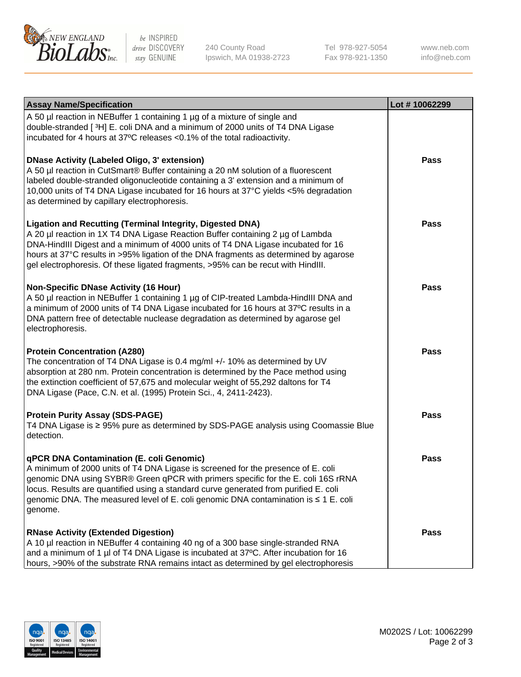

be INSPIRED drive DISCOVERY stay GENUINE

240 County Road Ipswich, MA 01938-2723 Tel 978-927-5054 Fax 978-921-1350

www.neb.com info@neb.com

| <b>Assay Name/Specification</b>                                                                                                                                                                                                                                                                                                                                                                                    | Lot #10062299 |
|--------------------------------------------------------------------------------------------------------------------------------------------------------------------------------------------------------------------------------------------------------------------------------------------------------------------------------------------------------------------------------------------------------------------|---------------|
| A 50 µl reaction in NEBuffer 1 containing 1 µg of a mixture of single and<br>double-stranded [3H] E. coli DNA and a minimum of 2000 units of T4 DNA Ligase<br>incubated for 4 hours at 37°C releases <0.1% of the total radioactivity.                                                                                                                                                                             |               |
| <b>DNase Activity (Labeled Oligo, 3' extension)</b><br>A 50 µl reaction in CutSmart® Buffer containing a 20 nM solution of a fluorescent<br>labeled double-stranded oligonucleotide containing a 3' extension and a minimum of<br>10,000 units of T4 DNA Ligase incubated for 16 hours at 37°C yields <5% degradation<br>as determined by capillary electrophoresis.                                               | <b>Pass</b>   |
| <b>Ligation and Recutting (Terminal Integrity, Digested DNA)</b><br>A 20 µl reaction in 1X T4 DNA Ligase Reaction Buffer containing 2 µg of Lambda<br>DNA-HindIII Digest and a minimum of 4000 units of T4 DNA Ligase incubated for 16<br>hours at 37°C results in >95% ligation of the DNA fragments as determined by agarose<br>gel electrophoresis. Of these ligated fragments, >95% can be recut with HindIII. | <b>Pass</b>   |
| <b>Non-Specific DNase Activity (16 Hour)</b><br>A 50 µl reaction in NEBuffer 1 containing 1 µg of CIP-treated Lambda-HindIII DNA and<br>a minimum of 2000 units of T4 DNA Ligase incubated for 16 hours at 37°C results in a<br>DNA pattern free of detectable nuclease degradation as determined by agarose gel<br>electrophoresis.                                                                               | <b>Pass</b>   |
| <b>Protein Concentration (A280)</b><br>The concentration of T4 DNA Ligase is 0.4 mg/ml +/- 10% as determined by UV<br>absorption at 280 nm. Protein concentration is determined by the Pace method using<br>the extinction coefficient of 57,675 and molecular weight of 55,292 daltons for T4<br>DNA Ligase (Pace, C.N. et al. (1995) Protein Sci., 4, 2411-2423).                                                | <b>Pass</b>   |
| <b>Protein Purity Assay (SDS-PAGE)</b><br>T4 DNA Ligase is ≥ 95% pure as determined by SDS-PAGE analysis using Coomassie Blue<br>detection.                                                                                                                                                                                                                                                                        | <b>Pass</b>   |
| qPCR DNA Contamination (E. coli Genomic)<br>A minimum of 2000 units of T4 DNA Ligase is screened for the presence of E. coli<br>genomic DNA using SYBR® Green qPCR with primers specific for the E. coli 16S rRNA<br>locus. Results are quantified using a standard curve generated from purified E. coli<br>genomic DNA. The measured level of E. coli genomic DNA contamination is $\leq 1$ E. coli<br>genome.   | <b>Pass</b>   |
| <b>RNase Activity (Extended Digestion)</b><br>A 10 µl reaction in NEBuffer 4 containing 40 ng of a 300 base single-stranded RNA<br>and a minimum of 1 µl of T4 DNA Ligase is incubated at 37°C. After incubation for 16<br>hours, >90% of the substrate RNA remains intact as determined by gel electrophoresis                                                                                                    | Pass          |